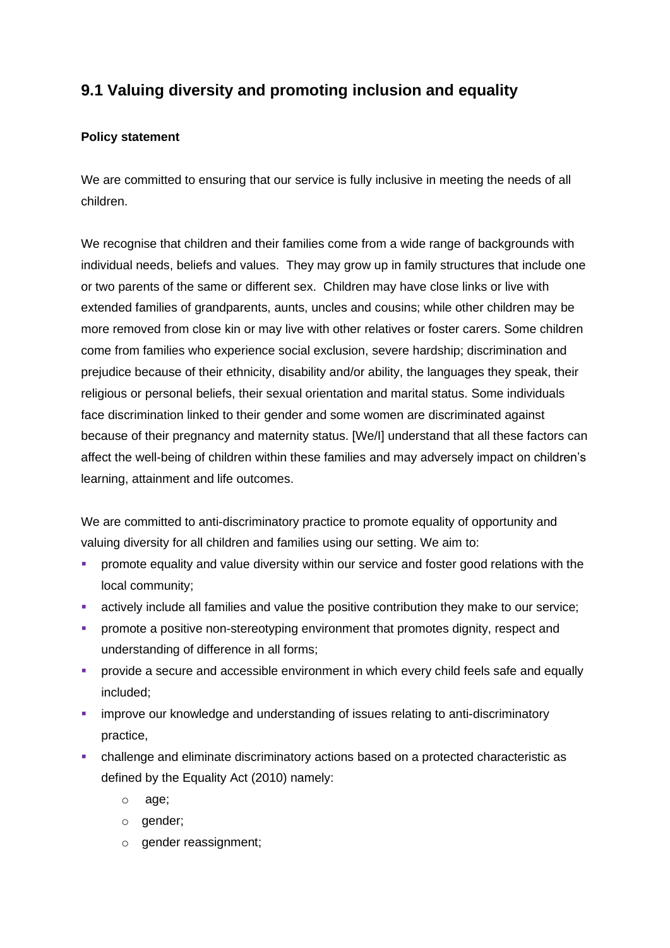# **9.1 Valuing diversity and promoting inclusion and equality**

# **Policy statement**

We are committed to ensuring that our service is fully inclusive in meeting the needs of all children.

We recognise that children and their families come from a wide range of backgrounds with individual needs, beliefs and values. They may grow up in family structures that include one or two parents of the same or different sex. Children may have close links or live with extended families of grandparents, aunts, uncles and cousins; while other children may be more removed from close kin or may live with other relatives or foster carers. Some children come from families who experience social exclusion, severe hardship; discrimination and prejudice because of their ethnicity, disability and/or ability, the languages they speak, their religious or personal beliefs, their sexual orientation and marital status. Some individuals face discrimination linked to their gender and some women are discriminated against because of their pregnancy and maternity status. [We/I] understand that all these factors can affect the well-being of children within these families and may adversely impact on children's learning, attainment and life outcomes.

We are committed to anti-discriminatory practice to promote equality of opportunity and valuing diversity for all children and families using our setting. We aim to:

- **•** promote equality and value diversity within our service and foster good relations with the local community;
- **EXECT** actively include all families and value the positive contribution they make to our service;
- **•** promote a positive non-stereotyping environment that promotes dignity, respect and understanding of difference in all forms;
- **•** provide a secure and accessible environment in which every child feels safe and equally included;
- **E** improve our knowledge and understanding of issues relating to anti-discriminatory practice,
- challenge and eliminate discriminatory actions based on a protected characteristic as defined by the Equality Act (2010) namely:
	- o age;
	- o gender;
	- o gender reassignment;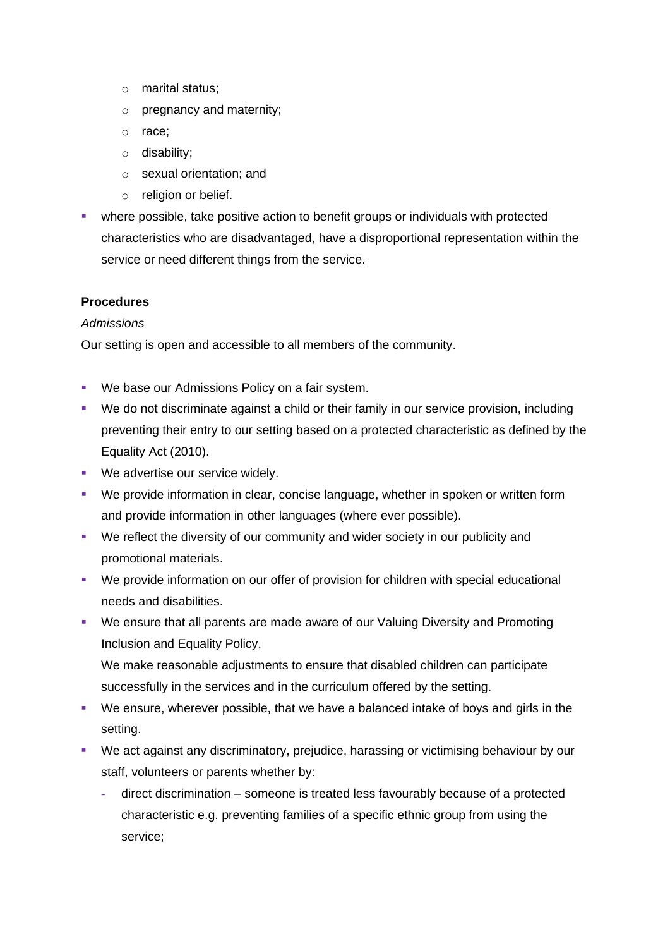- o marital status;
- o pregnancy and maternity;
- o race;
- o disability;
- o sexual orientation; and
- o religion or belief.
- **•** where possible, take positive action to benefit groups or individuals with protected characteristics who are disadvantaged, have a disproportional representation within the service or need different things from the service.

### **Procedures**

### *Admissions*

Our setting is open and accessible to all members of the community.

- We base our Admissions Policy on a fair system.
- We do not discriminate against a child or their family in our service provision, including preventing their entry to our setting based on a protected characteristic as defined by the Equality Act (2010).
- We advertise our service widely.
- We provide information in clear, concise language, whether in spoken or written form and provide information in other languages (where ever possible).
- We reflect the diversity of our community and wider society in our publicity and promotional materials.
- We provide information on our offer of provision for children with special educational needs and disabilities.
- We ensure that all parents are made aware of our Valuing Diversity and Promoting Inclusion and Equality Policy.

We make reasonable adjustments to ensure that disabled children can participate successfully in the services and in the curriculum offered by the setting.

- We ensure, wherever possible, that we have a balanced intake of boys and girls in the setting.
- We act against any discriminatory, prejudice, harassing or victimising behaviour by our staff, volunteers or parents whether by:
	- **-** direct discrimination someone is treated less favourably because of a protected characteristic e.g. preventing families of a specific ethnic group from using the service;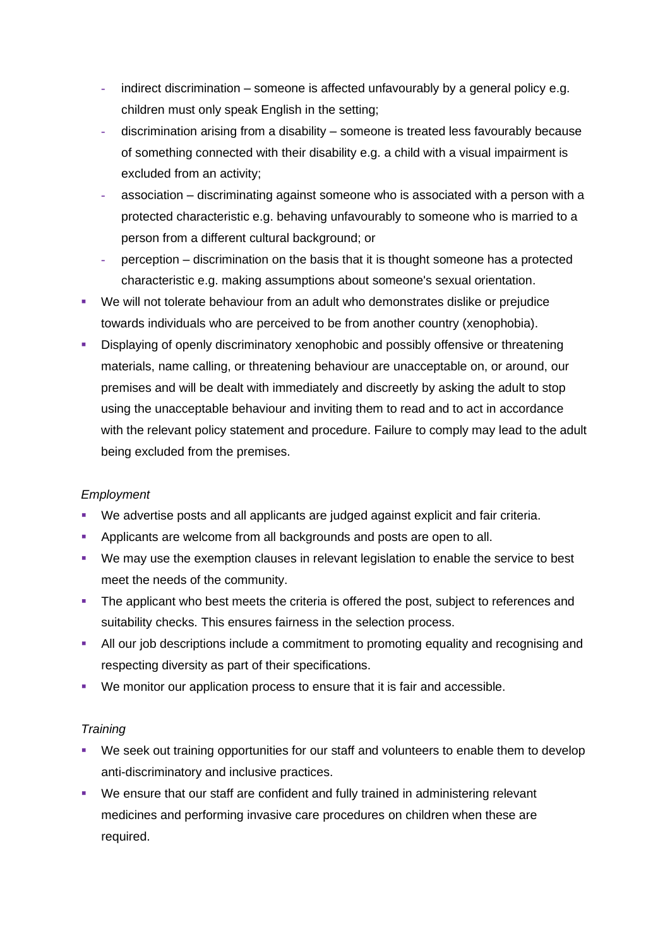- **-** indirect discrimination someone is affected unfavourably by a general policy e.g. children must only speak English in the setting;
- **-** discrimination arising from a disability someone is treated less favourably because of something connected with their disability e.g. a child with a visual impairment is excluded from an activity;
- **-** association discriminating against someone who is associated with a person with a protected characteristic e.g. behaving unfavourably to someone who is married to a person from a different cultural background; or
- **-** perception discrimination on the basis that it is thought someone has a protected characteristic e.g. making assumptions about someone's sexual orientation.
- We will not tolerate behaviour from an adult who demonstrates dislike or prejudice towards individuals who are perceived to be from another country (xenophobia).
- Displaying of openly discriminatory xenophobic and possibly offensive or threatening materials, name calling, or threatening behaviour are unacceptable on, or around, our premises and will be dealt with immediately and discreetly by asking the adult to stop using the unacceptable behaviour and inviting them to read and to act in accordance with the relevant policy statement and procedure. Failure to comply may lead to the adult being excluded from the premises.

# *Employment*

- We advertise posts and all applicants are judged against explicit and fair criteria.
- Applicants are welcome from all backgrounds and posts are open to all.
- We may use the exemption clauses in relevant legislation to enable the service to best meet the needs of the community.
- **•** The applicant who best meets the criteria is offered the post, subject to references and suitability checks. This ensures fairness in the selection process.
- **EXTENDING 1** All our job descriptions include a commitment to promoting equality and recognising and respecting diversity as part of their specifications.
- We monitor our application process to ensure that it is fair and accessible.

### *Training*

- We seek out training opportunities for our staff and volunteers to enable them to develop anti-discriminatory and inclusive practices.
- We ensure that our staff are confident and fully trained in administering relevant medicines and performing invasive care procedures on children when these are required.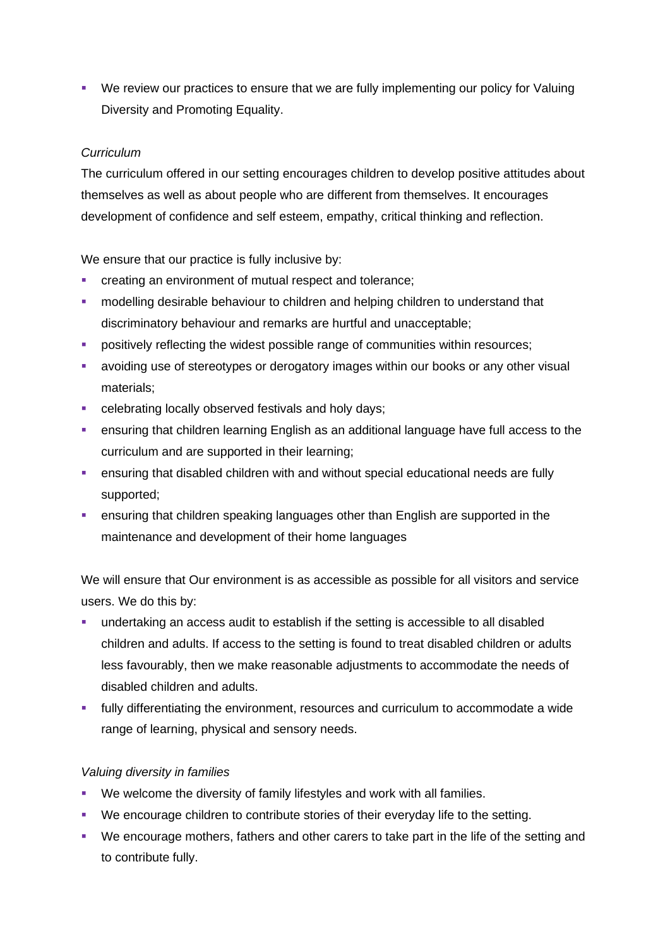■ We review our practices to ensure that we are fully implementing our policy for Valuing Diversity and Promoting Equality.

## *Curriculum*

The curriculum offered in our setting encourages children to develop positive attitudes about themselves as well as about people who are different from themselves. It encourages development of confidence and self esteem, empathy, critical thinking and reflection.

We ensure that our practice is fully inclusive by:

- **•** creating an environment of mutual respect and tolerance;
- **•** modelling desirable behaviour to children and helping children to understand that discriminatory behaviour and remarks are hurtful and unacceptable;
- **•** positively reflecting the widest possible range of communities within resources;
- **EXECT** avoiding use of stereotypes or derogatory images within our books or any other visual materials;
- **•** celebrating locally observed festivals and holy days;
- ensuring that children learning English as an additional language have full access to the curriculum and are supported in their learning;
- ensuring that disabled children with and without special educational needs are fully supported;
- **EXEDENT** ensuring that children speaking languages other than English are supported in the maintenance and development of their home languages

We will ensure that Our environment is as accessible as possible for all visitors and service users. We do this by:

- undertaking an access audit to establish if the setting is accessible to all disabled children and adults. If access to the setting is found to treat disabled children or adults less favourably, then we make reasonable adjustments to accommodate the needs of disabled children and adults.
- **.** fully differentiating the environment, resources and curriculum to accommodate a wide range of learning, physical and sensory needs.

### *Valuing diversity in families*

- We welcome the diversity of family lifestyles and work with all families.
- We encourage children to contribute stories of their everyday life to the setting.
- We encourage mothers, fathers and other carers to take part in the life of the setting and to contribute fully.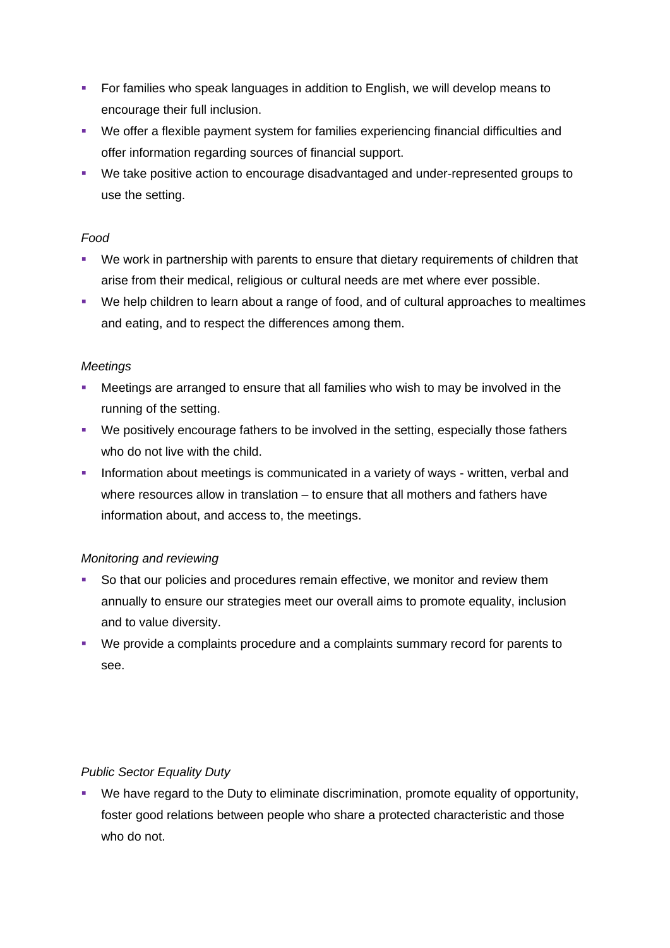- For families who speak languages in addition to English, we will develop means to encourage their full inclusion.
- We offer a flexible payment system for families experiencing financial difficulties and offer information regarding sources of financial support.
- We take positive action to encourage disadvantaged and under-represented groups to use the setting.

## *Food*

- We work in partnership with parents to ensure that dietary requirements of children that arise from their medical, religious or cultural needs are met where ever possible.
- We help children to learn about a range of food, and of cultural approaches to mealtimes and eating, and to respect the differences among them.

## *Meetings*

- Meetings are arranged to ensure that all families who wish to may be involved in the running of the setting.
- We positively encourage fathers to be involved in the setting, especially those fathers who do not live with the child.
- **EXT** Information about meetings is communicated in a variety of ways written, verbal and where resources allow in translation – to ensure that all mothers and fathers have information about, and access to, the meetings.

# *Monitoring and reviewing*

- So that our policies and procedures remain effective, we monitor and review them annually to ensure our strategies meet our overall aims to promote equality, inclusion and to value diversity.
- We provide a complaints procedure and a complaints summary record for parents to see.

# *Public Sector Equality Duty*

▪ We have regard to the Duty to eliminate discrimination, promote equality of opportunity, foster good relations between people who share a protected characteristic and those who do not.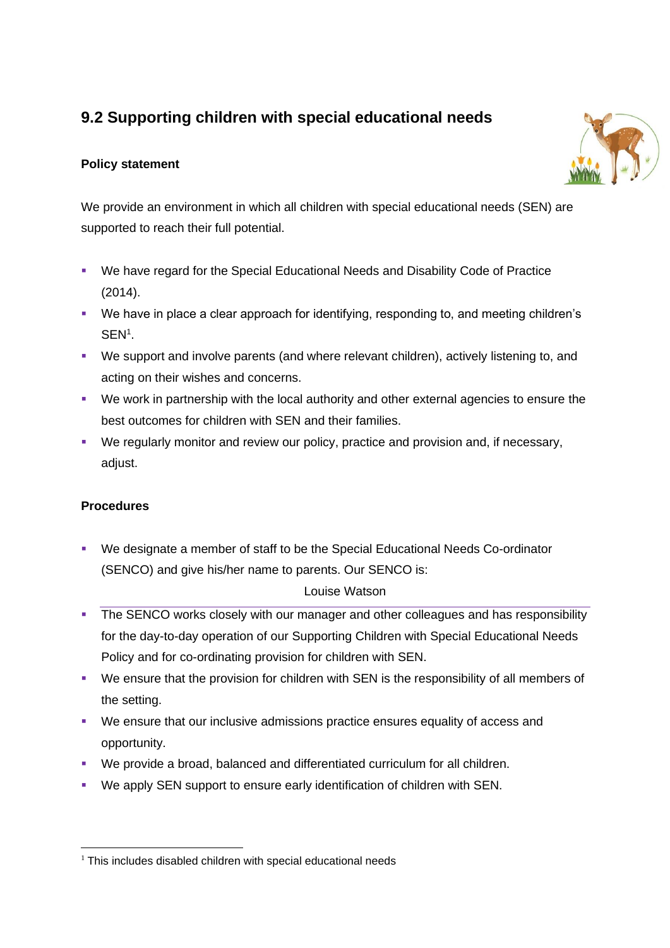# **9.2 Supporting children with special educational needs**

# **Policy statement**

We provide an environment in which all children with special educational needs (SEN) are supported to reach their full potential.

- We have regard for the Special Educational Needs and Disability Code of Practice (2014).
- We have in place a clear approach for identifying, responding to, and meeting children's SEN<sup>1</sup>.
- We support and involve parents (and where relevant children), actively listening to, and acting on their wishes and concerns.
- We work in partnership with the local authority and other external agencies to ensure the best outcomes for children with SEN and their families.
- We regularly monitor and review our policy, practice and provision and, if necessary, adjust.

# **Procedures**

▪ We designate a member of staff to be the Special Educational Needs Co-ordinator (SENCO) and give his/her name to parents. Our SENCO is:

# Louise Watson

- **•** The SENCO works closely with our manager and other colleagues and has responsibility for the day-to-day operation of our Supporting Children with Special Educational Needs Policy and for co-ordinating provision for children with SEN.
- We ensure that the provision for children with SEN is the responsibility of all members of the setting.
- We ensure that our inclusive admissions practice ensures equality of access and opportunity.
- We provide a broad, balanced and differentiated curriculum for all children.
- We apply SEN support to ensure early identification of children with SEN.



 $1$  This includes disabled children with special educational needs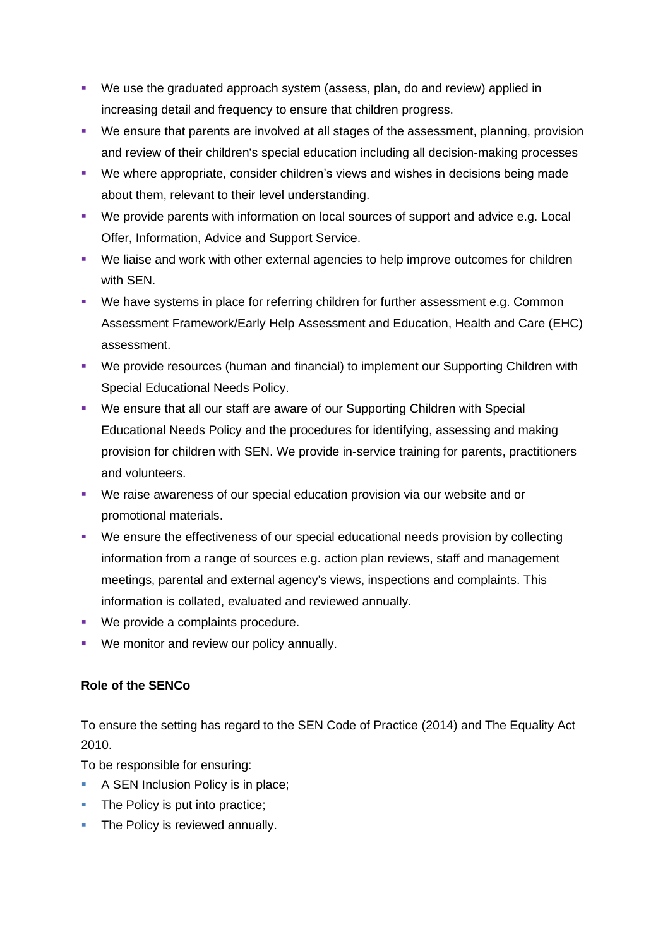- We use the graduated approach system (assess, plan, do and review) applied in increasing detail and frequency to ensure that children progress.
- We ensure that parents are involved at all stages of the assessment, planning, provision and review of their children's special education including all decision-making processes
- We where appropriate, consider children's views and wishes in decisions being made about them, relevant to their level understanding.
- We provide parents with information on local sources of support and advice e.g. Local Offer, Information, Advice and Support Service.
- We liaise and work with other external agencies to help improve outcomes for children with SEN.
- We have systems in place for referring children for further assessment e.g. Common Assessment Framework/Early Help Assessment and Education, Health and Care (EHC) assessment.
- We provide resources (human and financial) to implement our Supporting Children with Special Educational Needs Policy.
- We ensure that all our staff are aware of our Supporting Children with Special Educational Needs Policy and the procedures for identifying, assessing and making provision for children with SEN. We provide in-service training for parents, practitioners and volunteers.
- We raise awareness of our special education provision via our website and or promotional materials.
- We ensure the effectiveness of our special educational needs provision by collecting information from a range of sources e.g. action plan reviews, staff and management meetings, parental and external agency's views, inspections and complaints. This information is collated, evaluated and reviewed annually.
- We provide a complaints procedure.
- We monitor and review our policy annually.

# **Role of the SENCo**

To ensure the setting has regard to the SEN Code of Practice (2014) and The Equality Act 2010.

To be responsible for ensuring:

- A SEN Inclusion Policy is in place;
- The Policy is put into practice;
- **The Policy is reviewed annually.**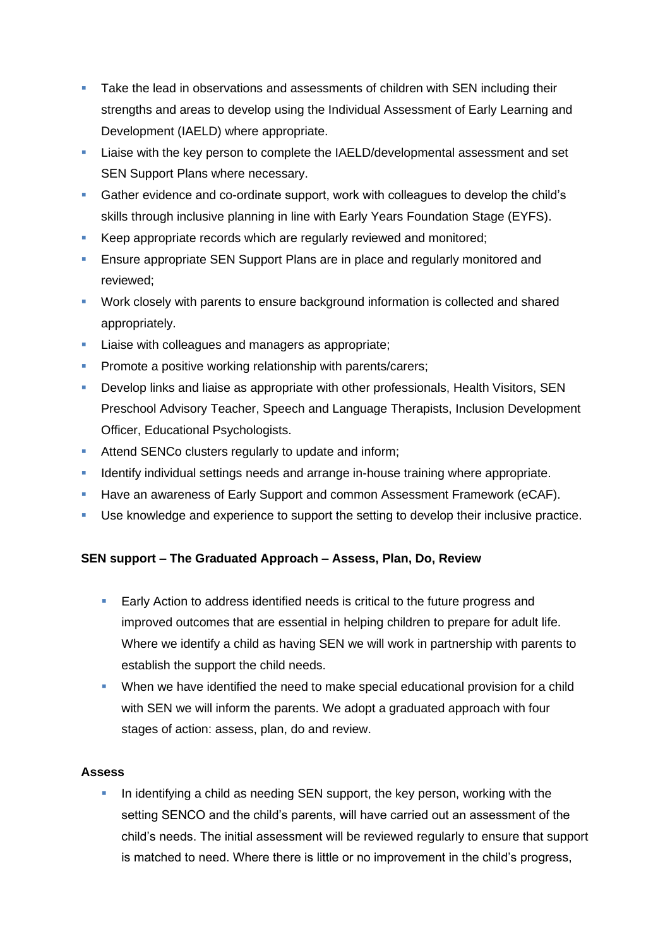- **•** Take the lead in observations and assessments of children with SEN including their strengths and areas to develop using the Individual Assessment of Early Learning and Development (IAELD) where appropriate.
- Liaise with the key person to complete the IAELD/developmental assessment and set SEN Support Plans where necessary.
- Gather evidence and co-ordinate support, work with colleagues to develop the child's skills through inclusive planning in line with Early Years Foundation Stage (EYFS).
- Keep appropriate records which are regularly reviewed and monitored;
- **Ensure appropriate SEN Support Plans are in place and regularly monitored and** reviewed;
- Work closely with parents to ensure background information is collected and shared appropriately.
- **EXEC** Liaise with colleagues and managers as appropriate;
- **Promote a positive working relationship with parents/carers;**
- **•** Develop links and liaise as appropriate with other professionals, Health Visitors, SEN Preschool Advisory Teacher, Speech and Language Therapists, Inclusion Development Officer, Educational Psychologists.
- **EXECUTE:** Attend SENCo clusters regularly to update and inform;
- **EXED** Identify individual settings needs and arrange in-house training where appropriate.
- **EXECT** Have an awareness of Early Support and common Assessment Framework (eCAF).
- Use knowledge and experience to support the setting to develop their inclusive practice.

# **SEN support – The Graduated Approach – Assess, Plan, Do, Review**

- Early Action to address identified needs is critical to the future progress and improved outcomes that are essential in helping children to prepare for adult life. Where we identify a child as having SEN we will work in partnership with parents to establish the support the child needs.
- **When we have identified the need to make special educational provision for a child** with SEN we will inform the parents. We adopt a graduated approach with four stages of action: assess, plan, do and review.

# **Assess**

In identifying a child as needing SEN support, the key person, working with the setting SENCO and the child's parents, will have carried out an assessment of the child's needs. The initial assessment will be reviewed regularly to ensure that support is matched to need. Where there is little or no improvement in the child's progress,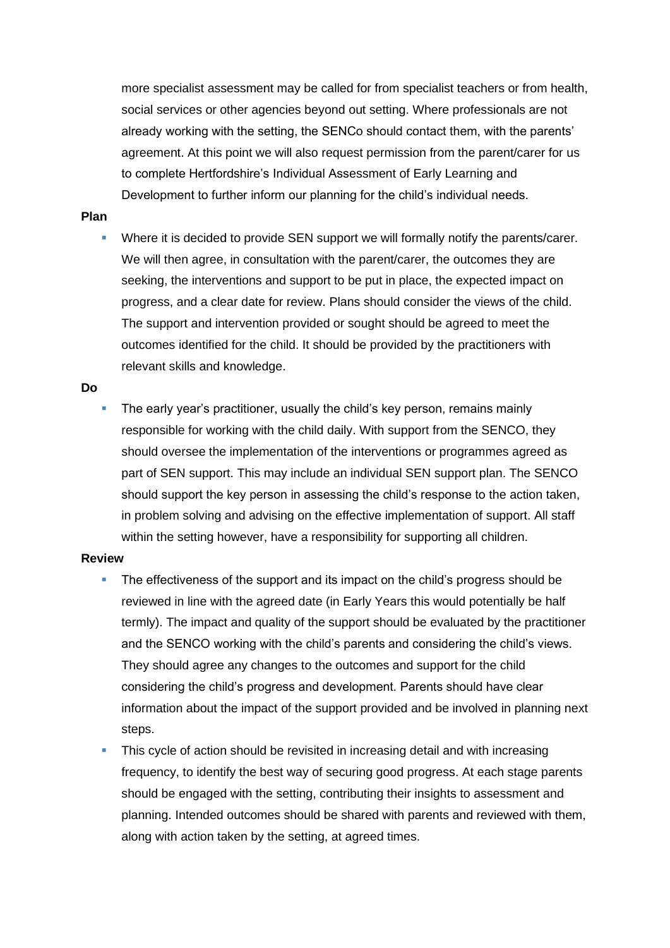more specialist assessment may be called for from specialist teachers or from health, social services or other agencies beyond out setting. Where professionals are not already working with the setting, the SENCo should contact them, with the parents' agreement. At this point we will also request permission from the parent/carer for us to complete Hertfordshire's Individual Assessment of Early Learning and Development to further inform our planning for the child's individual needs.

### **Plan**

Where it is decided to provide SEN support we will formally notify the parents/carer. We will then agree, in consultation with the parent/carer, the outcomes they are seeking, the interventions and support to be put in place, the expected impact on progress, and a clear date for review. Plans should consider the views of the child. The support and intervention provided or sought should be agreed to meet the outcomes identified for the child. It should be provided by the practitioners with relevant skills and knowledge.

#### **Do**

The early year's practitioner, usually the child's key person, remains mainly responsible for working with the child daily. With support from the SENCO, they should oversee the implementation of the interventions or programmes agreed as part of SEN support. This may include an individual SEN support plan. The SENCO should support the key person in assessing the child's response to the action taken, in problem solving and advising on the effective implementation of support. All staff within the setting however, have a responsibility for supporting all children.

#### **Review**

- The effectiveness of the support and its impact on the child's progress should be reviewed in line with the agreed date (in Early Years this would potentially be half termly). The impact and quality of the support should be evaluated by the practitioner and the SENCO working with the child's parents and considering the child's views. They should agree any changes to the outcomes and support for the child considering the child's progress and development. Parents should have clear information about the impact of the support provided and be involved in planning next steps.
- This cycle of action should be revisited in increasing detail and with increasing frequency, to identify the best way of securing good progress. At each stage parents should be engaged with the setting, contributing their insights to assessment and planning. Intended outcomes should be shared with parents and reviewed with them, along with action taken by the setting, at agreed times.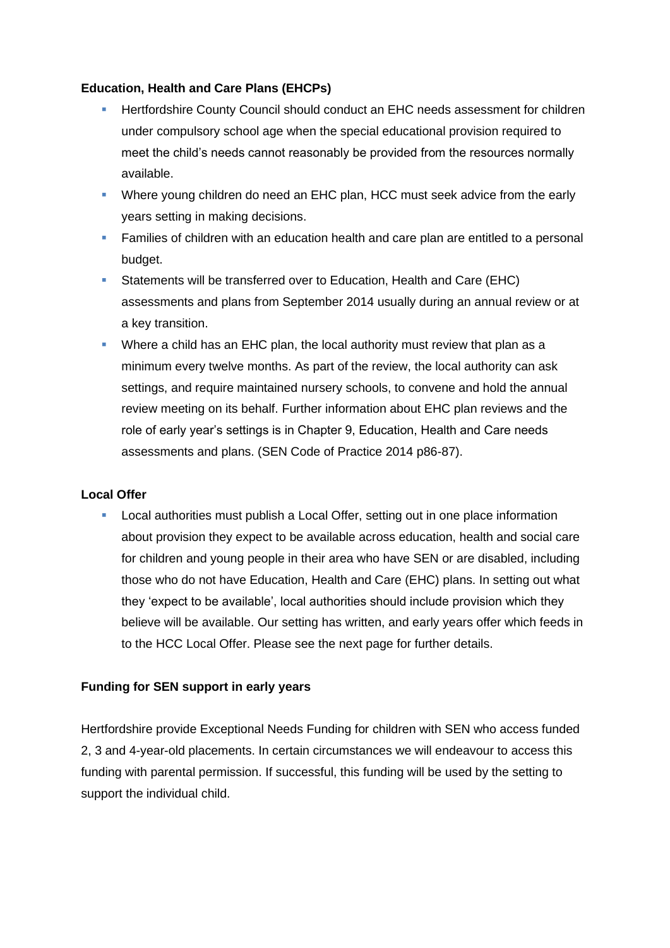### **Education, Health and Care Plans (EHCPs)**

- **E** Hertfordshire County Council should conduct an EHC needs assessment for children under compulsory school age when the special educational provision required to meet the child's needs cannot reasonably be provided from the resources normally available.
- Where young children do need an EHC plan, HCC must seek advice from the early years setting in making decisions.
- **EXECT** Families of children with an education health and care plan are entitled to a personal budget.
- Statements will be transferred over to Education, Health and Care (EHC) assessments and plans from September 2014 usually during an annual review or at a key transition.
- Where a child has an EHC plan, the local authority must review that plan as a minimum every twelve months. As part of the review, the local authority can ask settings, and require maintained nursery schools, to convene and hold the annual review meeting on its behalf. Further information about EHC plan reviews and the role of early year's settings is in Chapter 9, Education, Health and Care needs assessments and plans. (SEN Code of Practice 2014 p86-87).

# **Local Offer**

Local authorities must publish a Local Offer, setting out in one place information about provision they expect to be available across education, health and social care for children and young people in their area who have SEN or are disabled, including those who do not have Education, Health and Care (EHC) plans. In setting out what they 'expect to be available', local authorities should include provision which they believe will be available. Our setting has written, and early years offer which feeds in to the HCC Local Offer. Please see the next page for further details.

# **Funding for SEN support in early years**

Hertfordshire provide Exceptional Needs Funding for children with SEN who access funded 2, 3 and 4-year-old placements. In certain circumstances we will endeavour to access this funding with parental permission. If successful, this funding will be used by the setting to support the individual child.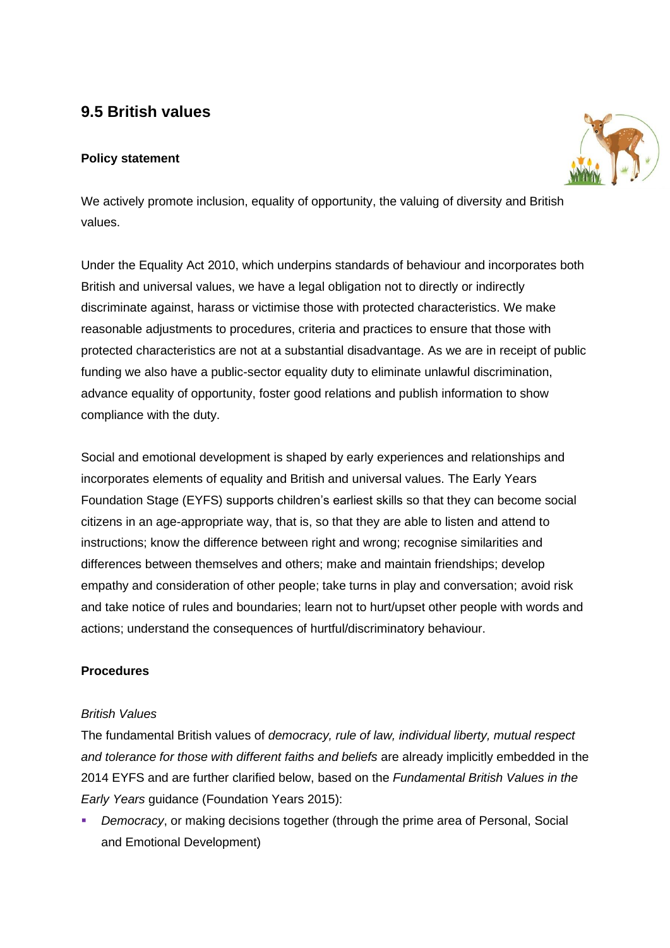# **9.5 British values**

# **Policy statement**



We actively promote inclusion, equality of opportunity, the valuing of diversity and British values.

Under the Equality Act 2010, which underpins standards of behaviour and incorporates both British and universal values, we have a legal obligation not to directly or indirectly discriminate against, harass or victimise those with protected characteristics. We make reasonable adjustments to procedures, criteria and practices to ensure that those with protected characteristics are not at a substantial disadvantage. As we are in receipt of public funding we also have a public-sector equality duty to eliminate unlawful discrimination, advance equality of opportunity, foster good relations and publish information to show compliance with the duty.

Social and emotional development is shaped by early experiences and relationships and incorporates elements of equality and British and universal values. The Early Years Foundation Stage (EYFS) supports children's earliest skills so that they can become social citizens in an age-appropriate way, that is, so that they are able to listen and attend to instructions; know the difference between right and wrong; recognise similarities and differences between themselves and others; make and maintain friendships; develop empathy and consideration of other people; take turns in play and conversation; avoid risk and take notice of rules and boundaries; learn not to hurt/upset other people with words and actions; understand the consequences of hurtful/discriminatory behaviour.

# **Procedures**

### *British Values*

The fundamental British values of *democracy, rule of law, individual liberty, mutual respect and tolerance for those with different faiths and beliefs* are already implicitly embedded in the 2014 EYFS and are further clarified below, based on the *Fundamental British Values in the Early Years* guidance (Foundation Years 2015):

▪ *Democracy*, or making decisions together (through the prime area of Personal, Social and Emotional Development)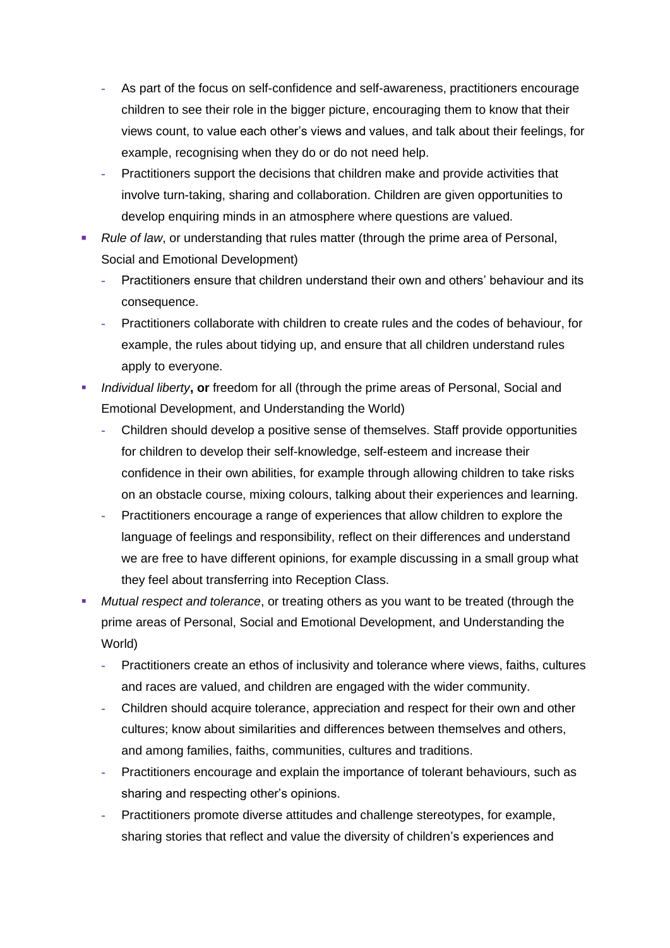- **-** As part of the focus on self-confidence and self-awareness, practitioners encourage children to see their role in the bigger picture, encouraging them to know that their views count, to value each other's views and values, and talk about their feelings, for example, recognising when they do or do not need help.
- **-** Practitioners support the decisions that children make and provide activities that involve turn-taking, sharing and collaboration. Children are given opportunities to develop enquiring minds in an atmosphere where questions are valued.
- *Rule of law*, or understanding that rules matter (through the prime area of Personal, Social and Emotional Development)
	- **-** Practitioners ensure that children understand their own and others' behaviour and its consequence.
	- **-** Practitioners collaborate with children to create rules and the codes of behaviour, for example, the rules about tidying up, and ensure that all children understand rules apply to everyone.
- *Individual liberty***, or** freedom for all (through the prime areas of Personal, Social and Emotional Development, and Understanding the World)
	- **-** Children should develop a positive sense of themselves. Staff provide opportunities for children to develop their self-knowledge, self-esteem and increase their confidence in their own abilities, for example through allowing children to take risks on an obstacle course, mixing colours, talking about their experiences and learning.
	- **-** Practitioners encourage a range of experiences that allow children to explore the language of feelings and responsibility, reflect on their differences and understand we are free to have different opinions, for example discussing in a small group what they feel about transferring into Reception Class.
- *Mutual respect and tolerance*, or treating others as you want to be treated (through the prime areas of Personal, Social and Emotional Development, and Understanding the World)
	- **-** Practitioners create an ethos of inclusivity and tolerance where views, faiths, cultures and races are valued, and children are engaged with the wider community.
	- **-** Children should acquire tolerance, appreciation and respect for their own and other cultures; know about similarities and differences between themselves and others, and among families, faiths, communities, cultures and traditions.
	- **-** Practitioners encourage and explain the importance of tolerant behaviours, such as sharing and respecting other's opinions.
	- **-** Practitioners promote diverse attitudes and challenge stereotypes, for example, sharing stories that reflect and value the diversity of children's experiences and